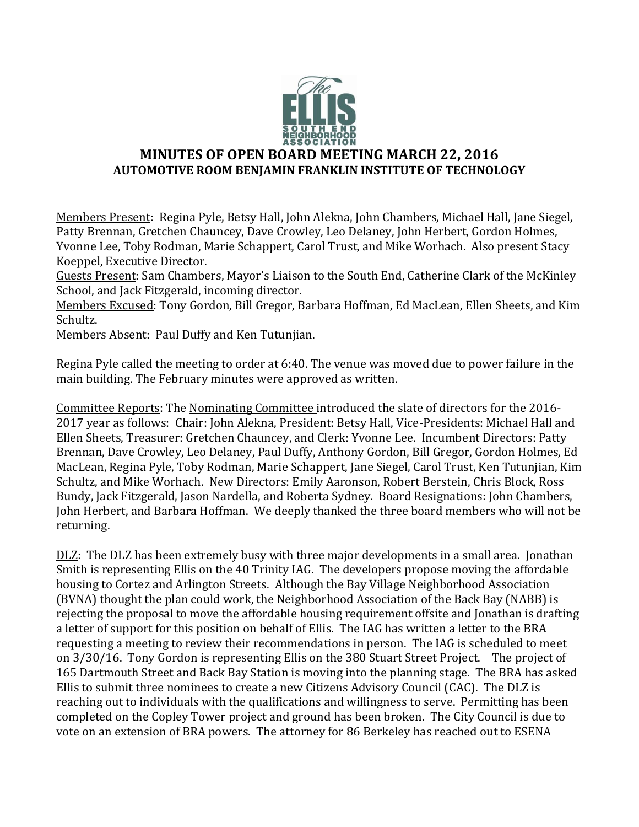

## **MINUTES OF OPEN BOARD MEETING MARCH 22, 2016 AUTOMOTIVE ROOM BENJAMIN FRANKLIN INSTITUTE OF TECHNOLOGY**

Members Present: Regina Pyle, Betsy Hall, John Alekna, John Chambers, Michael Hall, Jane Siegel, Patty Brennan, Gretchen Chauncey, Dave Crowley, Leo Delaney, John Herbert, Gordon Holmes, Yvonne Lee, Toby Rodman, Marie Schappert, Carol Trust, and Mike Worhach. Also present Stacy Koeppel, Executive Director.

Guests Present: Sam Chambers, Mayor's Liaison to the South End, Catherine Clark of the McKinley School, and Jack Fitzgerald, incoming director.

Members Excused: Tony Gordon, Bill Gregor, Barbara Hoffman, Ed MacLean, Ellen Sheets, and Kim Schultz.

Members Absent: Paul Duffy and Ken Tutunjian.

Regina Pyle called the meeting to order at 6:40. The venue was moved due to power failure in the main building. The February minutes were approved as written.

Committee Reports: The Nominating Committee introduced the slate of directors for the 2016- 2017 year as follows: Chair: John Alekna, President: Betsy Hall, Vice-Presidents: Michael Hall and Ellen Sheets, Treasurer: Gretchen Chauncey, and Clerk: Yvonne Lee. Incumbent Directors: Patty Brennan, Dave Crowley, Leo Delaney, Paul Duffy, Anthony Gordon, Bill Gregor, Gordon Holmes, Ed MacLean, Regina Pyle, Toby Rodman, Marie Schappert, Jane Siegel, Carol Trust, Ken Tutunjian, Kim Schultz, and Mike Worhach. New Directors: Emily Aaronson, Robert Berstein, Chris Block, Ross Bundy, Jack Fitzgerald, Jason Nardella, and Roberta Sydney. Board Resignations: John Chambers, John Herbert, and Barbara Hoffman. We deeply thanked the three board members who will not be returning.

DLZ: The DLZ has been extremely busy with three major developments in a small area. Jonathan Smith is representing Ellis on the 40 Trinity IAG. The developers propose moving the affordable housing to Cortez and Arlington Streets. Although the Bay Village Neighborhood Association (BVNA) thought the plan could work, the Neighborhood Association of the Back Bay (NABB) is rejecting the proposal to move the affordable housing requirement offsite and Jonathan is drafting a letter of support for this position on behalf of Ellis. The IAG has written a letter to the BRA requesting a meeting to review their recommendations in person. The IAG is scheduled to meet on 3/30/16. Tony Gordon is representing Ellis on the 380 Stuart Street Project. The project of 165 Dartmouth Street and Back Bay Station is moving into the planning stage. The BRA has asked Ellis to submit three nominees to create a new Citizens Advisory Council (CAC). The DLZ is reaching out to individuals with the qualifications and willingness to serve. Permitting has been completed on the Copley Tower project and ground has been broken. The City Council is due to vote on an extension of BRA powers. The attorney for 86 Berkeley has reached out to ESENA